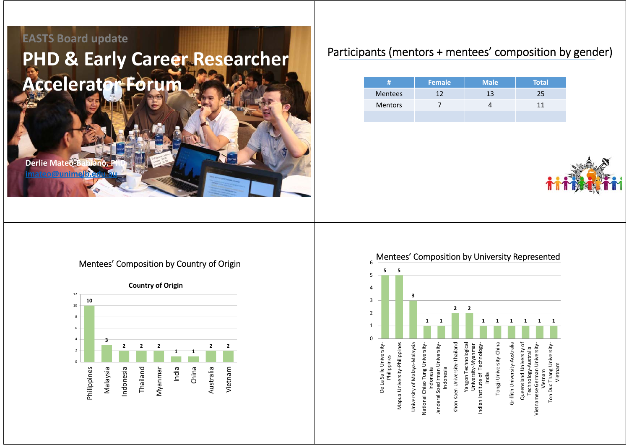

**Derlie Mateo-B inimelb.** 

### Participants (mentors + mentees' composition by gender)

|                | <b>Female</b> | <b>Male</b> | Total |
|----------------|---------------|-------------|-------|
| <b>Mentees</b> |               | 13          | ,,    |
| <b>Mentors</b> |               |             |       |
|                |               |             |       |



#### Mentees' Composition by Country of Origin



Mentees' Composition by University Represented

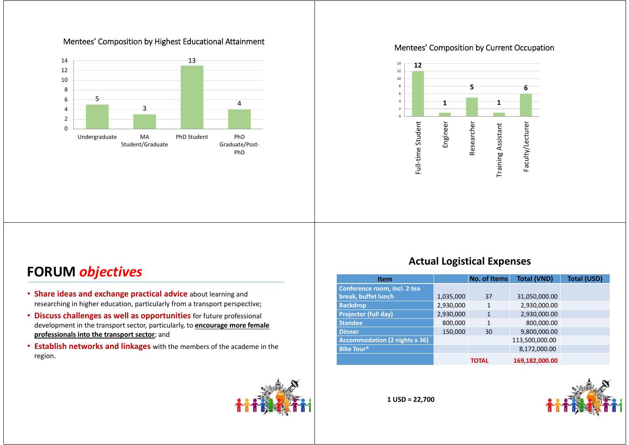

#### Mentees' Composition by Highest Educational Attainment

#### Mentees' Composition by Current Occupation



## **FORUM** *objectives*

- **Share ideas and exchange practical advice** about learning and researching in higher education, particularly from a transport perspective;
- **Discuss challenges as well as opportunities** for future professional development in the transport sector, particularly, to **encourage more female professionals into the transport sector**; and
- **Establish networks and linkages** with the members of the academe in the region.



#### **Actual Logistical Expenses**

| <b>Item</b>                          |           | <b>No. of Items</b> | <b>Total (VND)</b> | <b>Total (USD)</b> |
|--------------------------------------|-----------|---------------------|--------------------|--------------------|
| Conference room, incl. 2 tea         |           |                     |                    |                    |
| break, buffet lunch                  | 1,035,000 | 37                  | 31,050,000.00      |                    |
| <b>Backdrop</b>                      | 2,930,000 | 1                   | 2,930,000.00       |                    |
| <b>Projector (full day)</b>          | 2,930,000 | 1                   | 2,930,000.00       |                    |
| <b>Standee</b>                       | 800,000   | 1                   | 800,000.00         |                    |
| <b>Dinner</b>                        | 150,000   | 30                  | 9,800,000.00       |                    |
| <b>Accommodation (2 nights x 36)</b> |           |                     | 113,500,000.00     |                    |
| <b>Bike Tour*</b>                    |           |                     | 8,172,000.00       |                    |
|                                      |           | <b>TOTAL</b>        | 169,182,000.00     |                    |

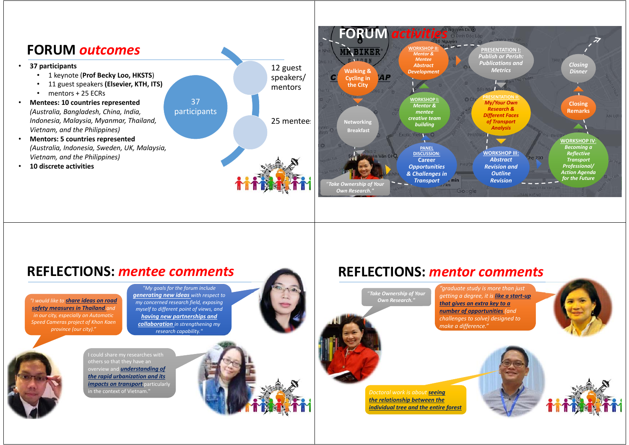

### **REFLECTIONS:** *mentee comments*

*"I would like to share ideas on road safety measures in Thailand and in our city, especially on Automatic Speed Cameras project of Khon Kaen province (our city)."*

*"My goals for the forum include generating new ideas with respect to my concerned research field, exposing myself to different point of views, and having new partnerships and collaboration in strengthening my research capability."*

overview and *understanding of the rapid urbanization and its impacts on transport particularly* n the context of Vietnam.



### **REFLECTIONS:** *mentor comments*

"*Take Ownership of Your Own Research."*

*"graduate study is more than just getting a degree, it is like a start‐up that gives an extra key to a number of opportunities (and challenges to solve) designed to make a difference."*